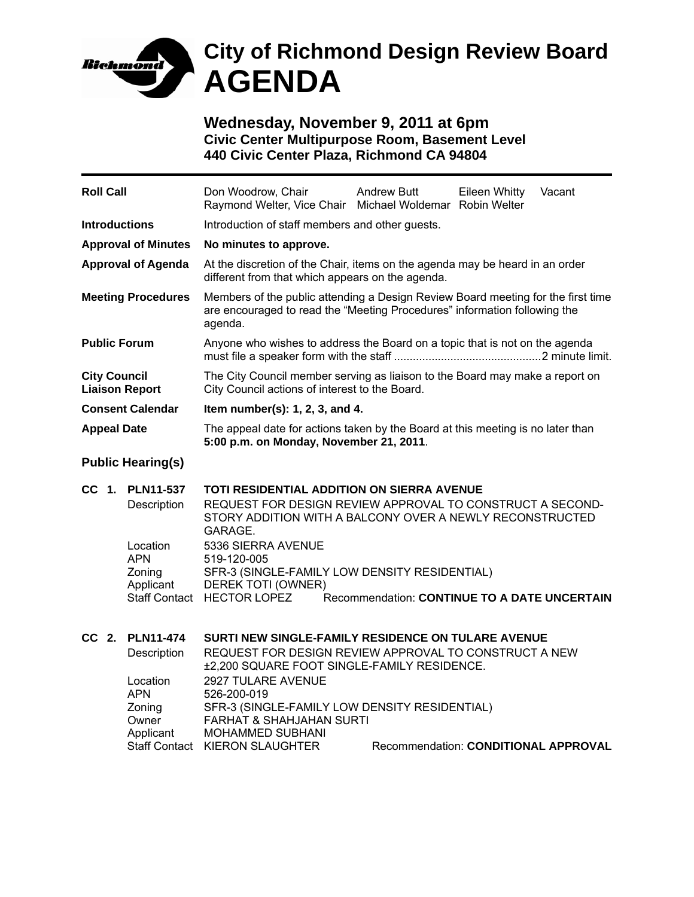

## **City of Richmond Design Review Board AGENDA**

**Wednesday, November 9, 2011 at 6pm Civic Center Multipurpose Room, Basement Level 440 Civic Center Plaza, Richmond CA 94804** 

| <b>Roll Call</b>                             |                                                           | Don Woodrow, Chair<br>Raymond Welter, Vice Chair Michael Woldemar Robin Welter                                                                                                                                                                                                                                                                                                               | <b>Andrew Butt</b> | <b>Eileen Whitty</b> | Vacant |  |
|----------------------------------------------|-----------------------------------------------------------|----------------------------------------------------------------------------------------------------------------------------------------------------------------------------------------------------------------------------------------------------------------------------------------------------------------------------------------------------------------------------------------------|--------------------|----------------------|--------|--|
| <b>Introductions</b>                         |                                                           | Introduction of staff members and other guests.                                                                                                                                                                                                                                                                                                                                              |                    |                      |        |  |
| <b>Approval of Minutes</b>                   |                                                           | No minutes to approve.                                                                                                                                                                                                                                                                                                                                                                       |                    |                      |        |  |
| <b>Approval of Agenda</b>                    |                                                           | At the discretion of the Chair, items on the agenda may be heard in an order<br>different from that which appears on the agenda.                                                                                                                                                                                                                                                             |                    |                      |        |  |
| <b>Meeting Procedures</b>                    |                                                           | Members of the public attending a Design Review Board meeting for the first time<br>are encouraged to read the "Meeting Procedures" information following the<br>agenda.                                                                                                                                                                                                                     |                    |                      |        |  |
| <b>Public Forum</b>                          |                                                           | Anyone who wishes to address the Board on a topic that is not on the agenda                                                                                                                                                                                                                                                                                                                  |                    |                      |        |  |
| <b>City Council</b><br><b>Liaison Report</b> |                                                           | The City Council member serving as liaison to the Board may make a report on<br>City Council actions of interest to the Board.                                                                                                                                                                                                                                                               |                    |                      |        |  |
| <b>Consent Calendar</b>                      |                                                           | Item number(s): $1, 2, 3$ , and $4.$                                                                                                                                                                                                                                                                                                                                                         |                    |                      |        |  |
| <b>Appeal Date</b>                           |                                                           | The appeal date for actions taken by the Board at this meeting is no later than<br>5:00 p.m. on Monday, November 21, 2011.                                                                                                                                                                                                                                                                   |                    |                      |        |  |
| <b>Public Hearing(s)</b>                     |                                                           |                                                                                                                                                                                                                                                                                                                                                                                              |                    |                      |        |  |
|                                              | CC 1. PLN11-537<br>Description                            | TOTI RESIDENTIAL ADDITION ON SIERRA AVENUE<br>REQUEST FOR DESIGN REVIEW APPROVAL TO CONSTRUCT A SECOND-<br>STORY ADDITION WITH A BALCONY OVER A NEWLY RECONSTRUCTED<br>GARAGE.                                                                                                                                                                                                               |                    |                      |        |  |
|                                              | Location<br><b>APN</b><br>Zoning                          | 5336 SIERRA AVENUE<br>519-120-005<br>SFR-3 (SINGLE-FAMILY LOW DENSITY RESIDENTIAL)                                                                                                                                                                                                                                                                                                           |                    |                      |        |  |
|                                              | Applicant                                                 | DEREK TOTI (OWNER)<br>Staff Contact HECTOR LOPEZ<br>Recommendation: CONTINUE TO A DATE UNCERTAIN                                                                                                                                                                                                                                                                                             |                    |                      |        |  |
| CC 2.                                        | <b>PLN11-474</b><br>Description<br>Location<br><b>APN</b> | SURTI NEW SINGLE-FAMILY RESIDENCE ON TULARE AVENUE<br>REQUEST FOR DESIGN REVIEW APPROVAL TO CONSTRUCT A NEW<br>±2,200 SQUARE FOOT SINGLE-FAMILY RESIDENCE.<br>2927 TULARE AVENUE<br>526-200-019<br>SFR-3 (SINGLE-FAMILY LOW DENSITY RESIDENTIAL)<br><b>FARHAT &amp; SHAHJAHAN SURTI</b><br><b>MOHAMMED SUBHANI</b><br>Staff Contact KIERON SLAUGHTER<br>Recommendation: CONDITIONAL APPROVAL |                    |                      |        |  |
|                                              | Zoning<br>Owner<br>Applicant                              |                                                                                                                                                                                                                                                                                                                                                                                              |                    |                      |        |  |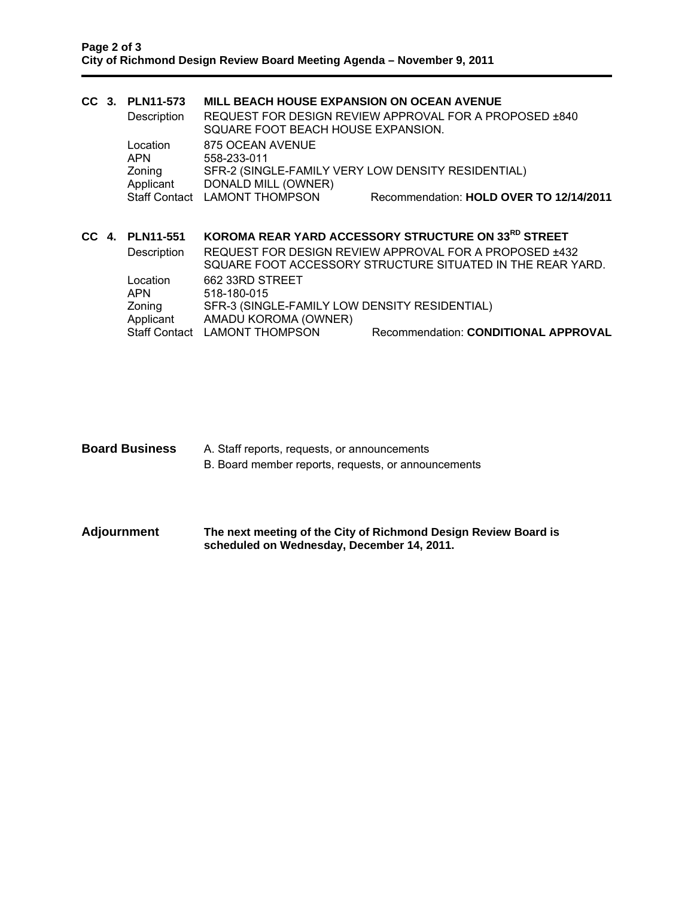|  |                        | CC 3. PLN11-573                                                       | <b>MILL BEACH HOUSE EXPANSION ON OCEAN AVENUE</b>                                                                    |                                         |  |  |
|--|------------------------|-----------------------------------------------------------------------|----------------------------------------------------------------------------------------------------------------------|-----------------------------------------|--|--|
|  |                        | Description                                                           | REQUEST FOR DESIGN REVIEW APPROVAL FOR A PROPOSED ±840<br>SQUARE FOOT BEACH HOUSE EXPANSION.                         |                                         |  |  |
|  |                        | Location<br><b>APN</b>                                                | 875 OCEAN AVENUE<br>558-233-011                                                                                      |                                         |  |  |
|  |                        | Zoning<br>Applicant                                                   | SFR-2 (SINGLE-FAMILY VERY LOW DENSITY RESIDENTIAL)<br>DONALD MILL (OWNER)                                            |                                         |  |  |
|  |                        |                                                                       | Staff Contact LAMONT THOMPSON                                                                                        | Recommendation: HOLD OVER TO 12/14/2011 |  |  |
|  |                        | CC 4. PLN11-551                                                       | KOROMA REAR YARD ACCESSORY STRUCTURE ON 33 <sup>RD</sup> STREET                                                      |                                         |  |  |
|  |                        | Description                                                           | REQUEST FOR DESIGN REVIEW APPROVAL FOR A PROPOSED ±432<br>SQUARE FOOT ACCESSORY STRUCTURE SITUATED IN THE REAR YARD. |                                         |  |  |
|  | Location<br><b>APN</b> | 662 33RD STREET<br>518-180-015                                        |                                                                                                                      |                                         |  |  |
|  | Zoning<br>Applicant    | SFR-3 (SINGLE-FAMILY LOW DENSITY RESIDENTIAL)<br>AMADU KOROMA (OWNER) |                                                                                                                      |                                         |  |  |
|  |                        |                                                                       | Staff Contact LAMONT THOMPSON                                                                                        | Recommendation: CONDITIONAL APPROVAL    |  |  |

- **Board Business** A. Staff reports, requests, or announcements B. Board member reports, requests, or announcements
- **Adjournment The next meeting of the City of Richmond Design Review Board is scheduled on Wednesday, December 14, 2011.**